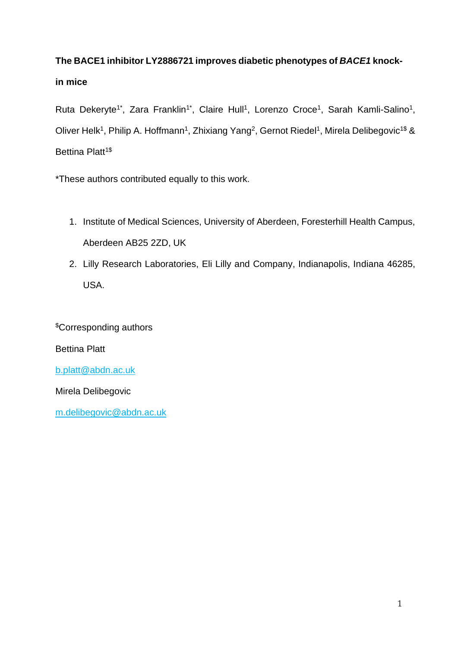# **The BACE1 inhibitor LY2886721 improves diabetic phenotypes of** *BACE1* **knockin mice**

Ruta Dekeryte<sup>1\*</sup>, Zara Franklin<sup>1\*</sup>, Claire Hull<sup>1</sup>, Lorenzo Croce<sup>1</sup>, Sarah Kamli-Salino<sup>1</sup>, Oliver Helk<sup>1</sup>, Philip A. Hoffmann<sup>1</sup>, Zhixiang Yang<sup>2</sup>, Gernot Riedel<sup>1</sup>, Mirela Delibegovic<sup>1\$</sup> & Bettina Platt<sup>1\$</sup>

\*These authors contributed equally to this work.

- 1. Institute of Medical Sciences, University of Aberdeen, Foresterhill Health Campus, Aberdeen AB25 2ZD, UK
- 2. Lilly Research Laboratories, Eli Lilly and Company, Indianapolis, Indiana 46285, USA.

\$Corresponding authors

Bettina Platt

[b.platt@abdn.ac.uk](mailto:b.platt@abdn.ac.uk)

Mirela Delibegovic

[m.delibegovic@abdn.ac.uk](mailto:m.delibegovic@abdn.ac.uk)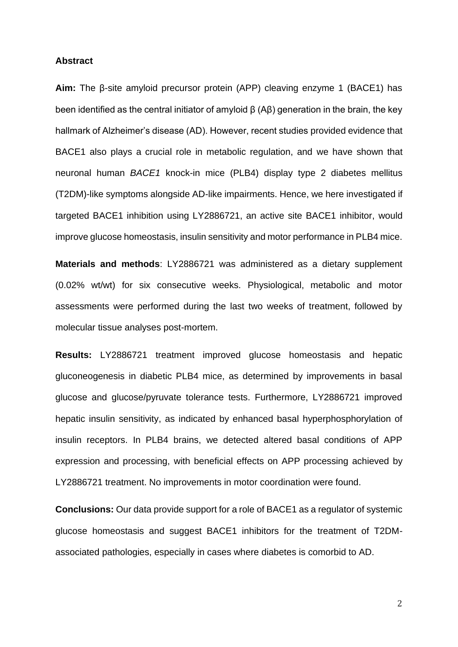### **Abstract**

**Aim:** The β-site amyloid precursor protein (APP) cleaving enzyme 1 (BACE1) has been identified as the central initiator of amyloid β (Aβ) generation in the brain, the key hallmark of Alzheimer's disease (AD). However, recent studies provided evidence that BACE1 also plays a crucial role in metabolic regulation, and we have shown that neuronal human *BACE1* knock-in mice (PLB4) display type 2 diabetes mellitus (T2DM)-like symptoms alongside AD-like impairments. Hence, we here investigated if targeted BACE1 inhibition using LY2886721, an active site BACE1 inhibitor, would improve glucose homeostasis, insulin sensitivity and motor performance in PLB4 mice.

**Materials and methods**: LY2886721 was administered as a dietary supplement (0.02% wt/wt) for six consecutive weeks. Physiological, metabolic and motor assessments were performed during the last two weeks of treatment, followed by molecular tissue analyses post-mortem.

**Results:** LY2886721 treatment improved glucose homeostasis and hepatic gluconeogenesis in diabetic PLB4 mice, as determined by improvements in basal glucose and glucose/pyruvate tolerance tests. Furthermore, LY2886721 improved hepatic insulin sensitivity, as indicated by enhanced basal hyperphosphorylation of insulin receptors. In PLB4 brains, we detected altered basal conditions of APP expression and processing, with beneficial effects on APP processing achieved by LY2886721 treatment. No improvements in motor coordination were found.

**Conclusions:** Our data provide support for a role of BACE1 as a regulator of systemic glucose homeostasis and suggest BACE1 inhibitors for the treatment of T2DMassociated pathologies, especially in cases where diabetes is comorbid to AD.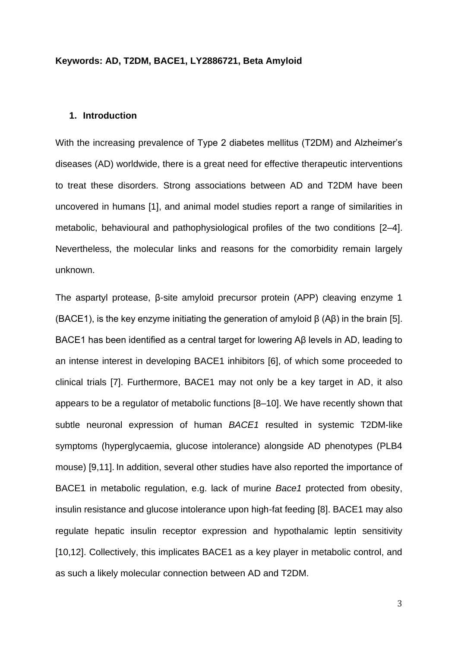## **Keywords: AD, T2DM, BACE1, LY2886721, Beta Amyloid**

# **1. Introduction**

With the increasing prevalence of Type 2 diabetes mellitus (T2DM) and Alzheimer's diseases (AD) worldwide, there is a great need for effective therapeutic interventions to treat these disorders. Strong associations between AD and T2DM have been uncovered in humans [1], and animal model studies report a range of similarities in metabolic, behavioural and pathophysiological profiles of the two conditions [2–4]. Nevertheless, the molecular links and reasons for the comorbidity remain largely unknown.

The aspartyl protease, β-site amyloid precursor protein (APP) cleaving enzyme 1 (BACE1), is the key enzyme initiating the generation of amyloid  $β$  (A $β$ ) in the brain [5]. BACE1 has been identified as a central target for lowering Aβ levels in AD, leading to an intense interest in developing BACE1 inhibitors [6], of which some proceeded to clinical trials [7]. Furthermore, BACE1 may not only be a key target in AD, it also appears to be a regulator of metabolic functions [8–10]. We have recently shown that subtle neuronal expression of human *BACE1* resulted in systemic T2DM-like symptoms (hyperglycaemia, glucose intolerance) alongside AD phenotypes (PLB4 mouse) [9,11]. In addition, several other studies have also reported the importance of BACE1 in metabolic regulation, e.g. lack of murine *Bace1* protected from obesity, insulin resistance and glucose intolerance upon high-fat feeding [8]. BACE1 may also regulate hepatic insulin receptor expression and hypothalamic leptin sensitivity [10,12]. Collectively, this implicates BACE1 as a key player in metabolic control, and as such a likely molecular connection between AD and T2DM.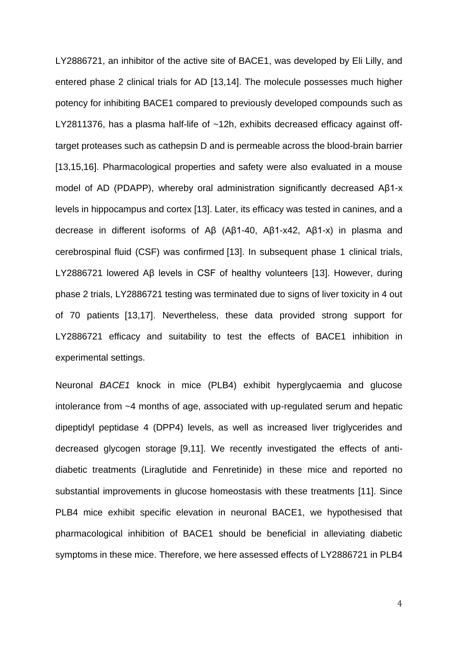LY2886721, an inhibitor of the active site of BACE1, was developed by Eli Lilly, and entered phase 2 clinical trials for AD [13,14]. The molecule possesses much higher potency for inhibiting BACE1 compared to previously developed compounds such as LY2811376, has a plasma half-life of ~12h, exhibits decreased efficacy against offtarget proteases such as cathepsin D and is permeable across the blood-brain barrier [13,15,16]. Pharmacological properties and safety were also evaluated in a mouse model of AD (PDAPP), whereby oral administration significantly decreased Aβ1-x levels in hippocampus and cortex [13]. Later, its efficacy was tested in canines, and a decrease in different isoforms of Aβ (Aβ1-40, Aβ1-x42, Aβ1-x) in plasma and cerebrospinal fluid (CSF) was confirmed [13]. In subsequent phase 1 clinical trials, LY2886721 lowered Aβ levels in CSF of healthy volunteers [13]. However, during phase 2 trials, LY2886721 testing was terminated due to signs of liver toxicity in 4 out of 70 patients [13,17]. Nevertheless, these data provided strong support for LY2886721 efficacy and suitability to test the effects of BACE1 inhibition in experimental settings.

Neuronal *BACE1* knock in mice (PLB4) exhibit hyperglycaemia and glucose intolerance from ~4 months of age, associated with up-regulated serum and hepatic dipeptidyl peptidase 4 (DPP4) levels, as well as increased liver triglycerides and decreased glycogen storage [9,11]. We recently investigated the effects of antidiabetic treatments (Liraglutide and Fenretinide) in these mice and reported no substantial improvements in glucose homeostasis with these treatments [11]. Since PLB4 mice exhibit specific elevation in neuronal BACE1, we hypothesised that pharmacological inhibition of BACE1 should be beneficial in alleviating diabetic symptoms in these mice. Therefore, we here assessed effects of LY2886721 in PLB4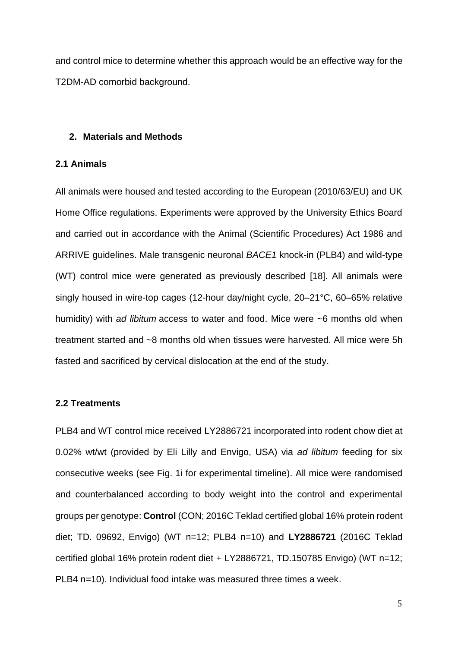and control mice to determine whether this approach would be an effective way for the T2DM-AD comorbid background.

## **2. Materials and Methods**

## **2.1 Animals**

All animals were housed and tested according to the European (2010/63/EU) and UK Home Office regulations. Experiments were approved by the University Ethics Board and carried out in accordance with the Animal (Scientific Procedures) Act 1986 and ARRIVE guidelines. Male transgenic neuronal *BACE1* knock-in (PLB4) and wild-type (WT) control mice were generated as previously described [18]. All animals were singly housed in wire-top cages (12-hour day/night cycle, 20–21°C, 60–65% relative humidity) with *ad libitum* access to water and food. Mice were ~6 months old when treatment started and ~8 months old when tissues were harvested. All mice were 5h fasted and sacrificed by cervical dislocation at the end of the study.

## **2.2 Treatments**

PLB4 and WT control mice received LY2886721 incorporated into rodent chow diet at 0.02% wt/wt (provided by Eli Lilly and Envigo, USA) via *ad libitum* feeding for six consecutive weeks (see Fig. 1i for experimental timeline). All mice were randomised and counterbalanced according to body weight into the control and experimental groups per genotype: **Control** (CON; 2016C Teklad certified global 16% protein rodent diet; TD. 09692, Envigo) (WT n=12; PLB4 n=10) and **LY2886721** (2016C Teklad certified global 16% protein rodent diet + LY2886721, TD.150785 Envigo) (WT n=12; PLB4 n=10). Individual food intake was measured three times a week.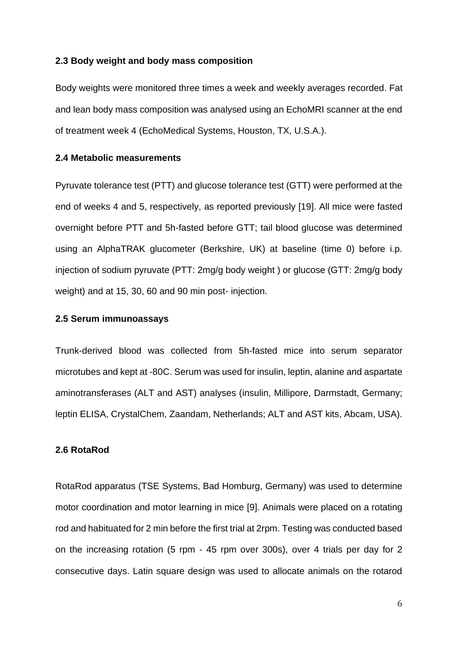### **2.3 Body weight and body mass composition**

Body weights were monitored three times a week and weekly averages recorded. Fat and lean body mass composition was analysed using an EchoMRI scanner at the end of treatment week 4 (EchoMedical Systems, Houston, TX, U.S.A.).

## **2.4 Metabolic measurements**

Pyruvate tolerance test (PTT) and glucose tolerance test (GTT) were performed at the end of weeks 4 and 5, respectively, as reported previously [19]. All mice were fasted overnight before PTT and 5h-fasted before GTT; tail blood glucose was determined using an AlphaTRAK glucometer (Berkshire, UK) at baseline (time 0) before i.p. injection of sodium pyruvate (PTT: 2mg/g body weight ) or glucose (GTT: 2mg/g body weight) and at 15, 30, 60 and 90 min post- injection.

# **2.5 Serum immunoassays**

Trunk-derived blood was collected from 5h-fasted mice into serum separator microtubes and kept at -80C. Serum was used for insulin, leptin, alanine and aspartate aminotransferases (ALT and AST) analyses (insulin, Millipore, Darmstadt, Germany; leptin ELISA, CrystalChem, Zaandam, Netherlands; ALT and AST kits, Abcam, USA).

# **2.6 RotaRod**

RotaRod apparatus (TSE Systems, Bad Homburg, Germany) was used to determine motor coordination and motor learning in mice [9]. Animals were placed on a rotating rod and habituated for 2 min before the first trial at 2rpm. Testing was conducted based on the increasing rotation (5 rpm - 45 rpm over 300s), over 4 trials per day for 2 consecutive days. Latin square design was used to allocate animals on the rotarod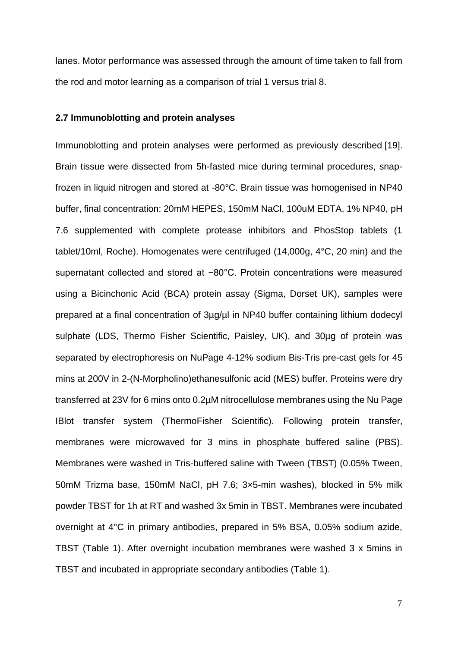lanes. Motor performance was assessed through the amount of time taken to fall from the rod and motor learning as a comparison of trial 1 versus trial 8.

### **2.7 Immunoblotting and protein analyses**

Immunoblotting and protein analyses were performed as previously described [19]. Brain tissue were dissected from 5h-fasted mice during terminal procedures, snapfrozen in liquid nitrogen and stored at -80°C. Brain tissue was homogenised in NP40 buffer, final concentration: 20mM HEPES, 150mM NaCl, 100uM EDTA, 1% NP40, pH 7.6 supplemented with complete protease inhibitors and PhosStop tablets (1 tablet/10ml, Roche). Homogenates were centrifuged (14,000g, 4°C, 20 min) and the supernatant collected and stored at −80°C. Protein concentrations were measured using a Bicinchonic Acid (BCA) protein assay (Sigma, Dorset UK), samples were prepared at a final concentration of 3µg/µl in NP40 buffer containing lithium dodecyl sulphate (LDS, Thermo Fisher Scientific, Paisley, UK), and 30µg of protein was separated by electrophoresis on NuPage 4-12% sodium Bis-Tris pre-cast gels for 45 mins at 200V in 2-(N-Morpholino)ethanesulfonic acid (MES) buffer. Proteins were dry transferred at 23V for 6 mins onto 0.2µM nitrocellulose membranes using the Nu Page IBlot transfer system (ThermoFisher Scientific). Following protein transfer, membranes were microwaved for 3 mins in phosphate buffered saline (PBS). Membranes were washed in Tris-buffered saline with Tween (TBST) (0.05% Tween, 50mM Trizma base, 150mM NaCl, pH 7.6; 3×5-min washes), blocked in 5% milk powder TBST for 1h at RT and washed 3x 5min in TBST. Membranes were incubated overnight at 4°C in primary antibodies, prepared in 5% BSA, 0.05% sodium azide, TBST (Table 1). After overnight incubation membranes were washed 3 x 5mins in TBST and incubated in appropriate secondary antibodies (Table 1).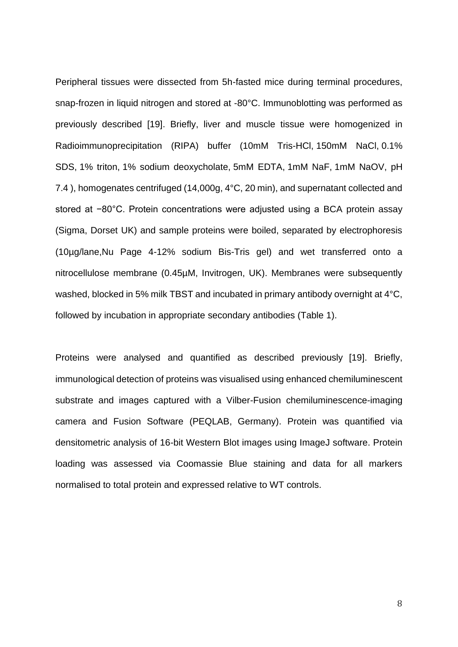Peripheral tissues were dissected from 5h-fasted mice during terminal procedures, snap-frozen in liquid nitrogen and stored at -80°C. Immunoblotting was performed as previously described [19]. Briefly, liver and muscle tissue were homogenized in Radioimmunoprecipitation (RIPA) buffer (10mM Tris-HCl, 150mM NaCl, 0.1% SDS, 1% triton, 1% sodium deoxycholate, 5mM EDTA, 1mM NaF, 1mM NaOV, pH 7.4 ), homogenates centrifuged (14,000g, 4°C, 20 min), and supernatant collected and stored at −80°C. Protein concentrations were adjusted using a BCA protein assay (Sigma, Dorset UK) and sample proteins were boiled, separated by electrophoresis (10µg/lane,Nu Page 4-12% sodium Bis-Tris gel) and wet transferred onto a nitrocellulose membrane (0.45µM, Invitrogen, UK). Membranes were subsequently washed, blocked in 5% milk TBST and incubated in primary antibody overnight at 4°C, followed by incubation in appropriate secondary antibodies (Table 1).

Proteins were analysed and quantified as described previously [19]. Briefly, immunological detection of proteins was visualised using enhanced chemiluminescent substrate and images captured with a Vilber-Fusion chemiluminescence-imaging camera and Fusion Software (PEQLAB, Germany). Protein was quantified via densitometric analysis of 16-bit Western Blot images using ImageJ software. Protein loading was assessed via Coomassie Blue staining and data for all markers normalised to total protein and expressed relative to WT controls.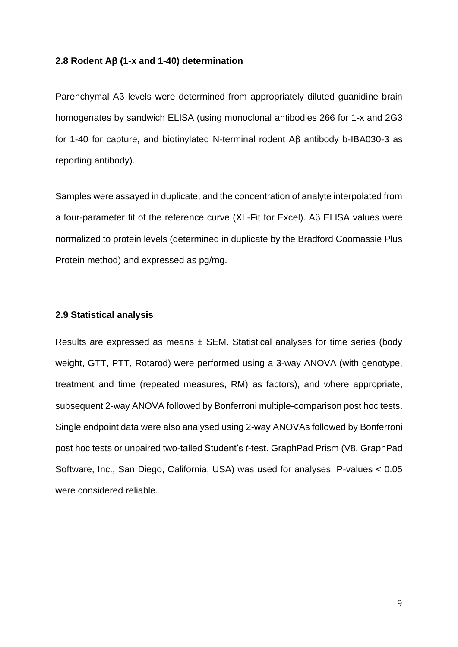## **2.8 Rodent Aβ (1-x and 1-40) determination**

Parenchymal Aβ levels were determined from appropriately diluted guanidine brain homogenates by sandwich ELISA (using monoclonal antibodies 266 for 1-x and 2G3 for 1-40 for capture, and biotinylated N-terminal rodent Aβ antibody b-IBA030-3 as reporting antibody).

Samples were assayed in duplicate, and the concentration of analyte interpolated from a four-parameter fit of the reference curve (XL-Fit for Excel). Aβ ELISA values were normalized to protein levels (determined in duplicate by the Bradford Coomassie Plus Protein method) and expressed as pg/mg.

# **2.9 Statistical analysis**

Results are expressed as means  $\pm$  SEM. Statistical analyses for time series (body weight, GTT, PTT, Rotarod) were performed using a 3-way ANOVA (with genotype, treatment and time (repeated measures, RM) as factors), and where appropriate, subsequent 2-way ANOVA followed by Bonferroni multiple-comparison post hoc tests. Single endpoint data were also analysed using 2-way ANOVAs followed by Bonferroni post hoc tests or unpaired two-tailed Student's *t*-test. GraphPad Prism (V8, GraphPad Software, Inc., San Diego, California, USA) was used for analyses. P-values < 0.05 were considered reliable.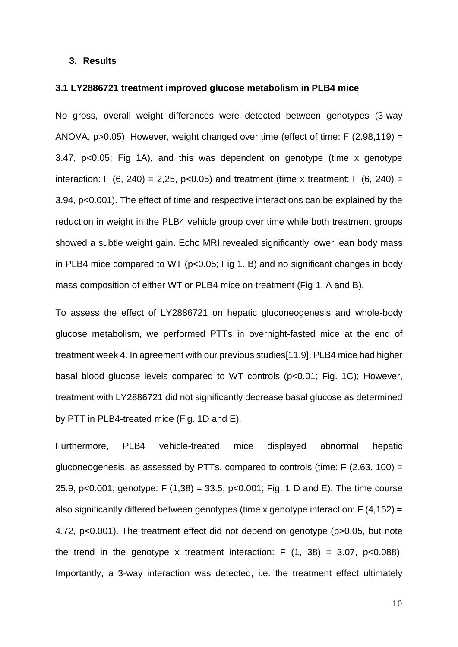#### **3. Results**

### **3.1 LY2886721 treatment improved glucose metabolism in PLB4 mice**

No gross, overall weight differences were detected between genotypes (3-way ANOVA,  $p > 0.05$ ). However, weight changed over time (effect of time: F (2.98,119) = 3.47, p<0.05; Fig 1A), and this was dependent on genotype (time x genotype interaction: F  $(6, 240) = 2.25$ , p<0.05) and treatment (time x treatment: F  $(6, 240) =$ 3.94, p<0.001). The effect of time and respective interactions can be explained by the reduction in weight in the PLB4 vehicle group over time while both treatment groups showed a subtle weight gain. Echo MRI revealed significantly lower lean body mass in PLB4 mice compared to WT ( $p<0.05$ ; Fig 1. B) and no significant changes in body mass composition of either WT or PLB4 mice on treatment (Fig 1. A and B).

To assess the effect of LY2886721 on hepatic gluconeogenesis and whole-body glucose metabolism, we performed PTTs in overnight-fasted mice at the end of treatment week 4. In agreement with our previous studies[11,9], PLB4 mice had higher basal blood glucose levels compared to WT controls (p<0.01; Fig. 1C); However, treatment with LY2886721 did not significantly decrease basal glucose as determined by PTT in PLB4-treated mice (Fig. 1D and E).

Furthermore, PLB4 vehicle-treated mice displayed abnormal hepatic gluconeogenesis, as assessed by PTTs, compared to controls (time:  $F(2.63, 100) =$ 25.9, p<0.001; genotype: F (1,38) = 33.5, p<0.001; Fig. 1 D and E). The time course also significantly differed between genotypes (time x genotype interaction: F (4,152) = 4.72, p<0.001). The treatment effect did not depend on genotype (p>0.05, but note the trend in the genotype x treatment interaction:  $F(1, 38) = 3.07$ ,  $p < 0.088$ ). Importantly, a 3-way interaction was detected, i.e. the treatment effect ultimately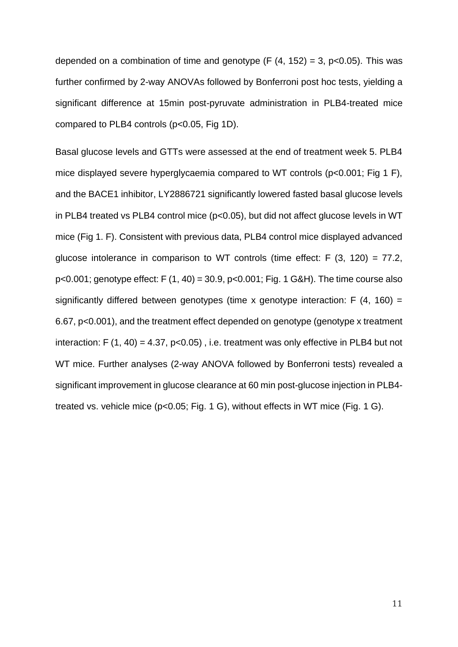depended on a combination of time and genotype  $(F (4, 152) = 3, p<0.05)$ . This was further confirmed by 2-way ANOVAs followed by Bonferroni post hoc tests, yielding a significant difference at 15min post-pyruvate administration in PLB4-treated mice compared to PLB4 controls (p<0.05, Fig 1D).

Basal glucose levels and GTTs were assessed at the end of treatment week 5. PLB4 mice displayed severe hyperglycaemia compared to WT controls (p<0.001; Fig 1 F), and the BACE1 inhibitor, LY2886721 significantly lowered fasted basal glucose levels in PLB4 treated vs PLB4 control mice (p<0.05), but did not affect glucose levels in WT mice (Fig 1. F). Consistent with previous data, PLB4 control mice displayed advanced glucose intolerance in comparison to WT controls (time effect:  $F(3, 120) = 77.2$ ,  $p<0.001$ ; genotype effect: F  $(1, 40) = 30.9$ ,  $p<0.001$ ; Fig. 1 G&H). The time course also significantly differed between genotypes (time x genotype interaction:  $F(4, 160) =$ 6.67, p<0.001), and the treatment effect depended on genotype (genotype x treatment interaction: F  $(1, 40) = 4.37$ , p<0.05), i.e. treatment was only effective in PLB4 but not WT mice. Further analyses (2-way ANOVA followed by Bonferroni tests) revealed a significant improvement in glucose clearance at 60 min post-glucose injection in PLB4 treated vs. vehicle mice (p<0.05; Fig. 1 G), without effects in WT mice (Fig. 1 G).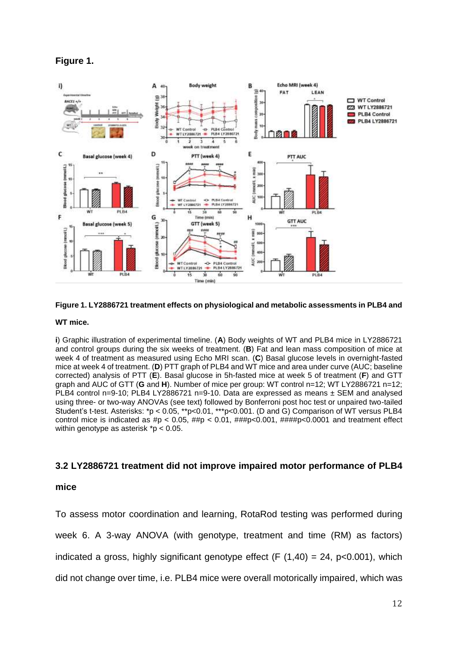



#### **Figure 1. LY2886721 treatment effects on physiological and metabolic assessments in PLB4 and**

#### **WT mice.**

**i**) Graphic illustration of experimental timeline. (**A**) Body weights of WT and PLB4 mice in LY2886721 and control groups during the six weeks of treatment. (**B**) Fat and lean mass composition of mice at week 4 of treatment as measured using Echo MRI scan. (**C**) Basal glucose levels in overnight-fasted mice at week 4 of treatment. (**D**) PTT graph of PLB4 and WT mice and area under curve (AUC; baseline corrected) analysis of PTT (**E**). Basal glucose in 5h-fasted mice at week 5 of treatment (**F**) and GTT graph and AUC of GTT (**G** and **H**). Number of mice per group: WT control n=12; WT LY2886721 n=12; PLB4 control n=9-10; PLB4 LY2886721 n=9-10. Data are expressed as means  $\pm$  SEM and analysed using three- or two-way ANOVAs (see text) followed by Bonferroni post hoc test or unpaired two-tailed Student's t-test. Asterisks: \*p < 0.05, \*\*p<0.01, \*\*\*p<0.001. (D and G) Comparison of WT versus PLB4 control mice is indicated as #p < 0.05, ##p < 0.01, ###p<0.001, ####p<0.0001 and treatment effect within genotype as asterisk \*p < 0.05.

## **3.2 LY2886721 treatment did not improve impaired motor performance of PLB4**

## **mice**

To assess motor coordination and learning, RotaRod testing was performed during week 6. A 3-way ANOVA (with genotype, treatment and time (RM) as factors) indicated a gross, highly significant genotype effect  $(F (1,40) = 24, p<0.001)$ , which did not change over time, i.e. PLB4 mice were overall motorically impaired, which was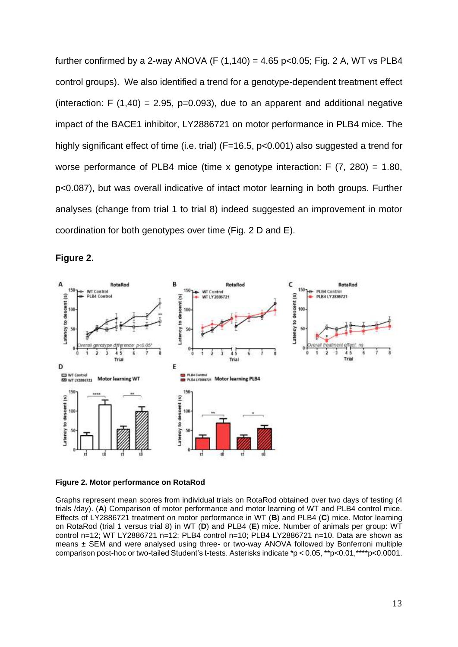further confirmed by a 2-way ANOVA (F  $(1,140) = 4.65$  p<0.05; Fig. 2 A, WT vs PLB4 control groups). We also identified a trend for a genotype-dependent treatment effect (interaction: F  $(1,40) = 2.95$ , p=0.093), due to an apparent and additional negative impact of the BACE1 inhibitor, LY2886721 on motor performance in PLB4 mice. The highly significant effect of time (i.e. trial) (F=16.5, p<0.001) also suggested a trend for worse performance of PLB4 mice (time x genotype interaction:  $F(7, 280) = 1.80$ , p<0.087), but was overall indicative of intact motor learning in both groups. Further analyses (change from trial 1 to trial 8) indeed suggested an improvement in motor coordination for both genotypes over time (Fig. 2 D and E).





**Figure 2. Motor performance on RotaRod** 

Graphs represent mean scores from individual trials on RotaRod obtained over two days of testing (4 trials /day). (**A**) Comparison of motor performance and motor learning of WT and PLB4 control mice. Effects of LY2886721 treatment on motor performance in WT (**B**) and PLB4 (**C**) mice. Motor learning on RotaRod (trial 1 versus trial 8) in WT (**D**) and PLB4 (**E**) mice. Number of animals per group: WT control n=12; WT LY2886721 n=12; PLB4 control n=10; PLB4 LY2886721 n=10. Data are shown as means ± SEM and were analysed using three- or two-way ANOVA followed by Bonferroni multiple comparison post-hoc or two-tailed Student's t-tests. Asterisks indicate \*p < 0.05, \*\*p<0.01,\*\*\*\*p<0.0001.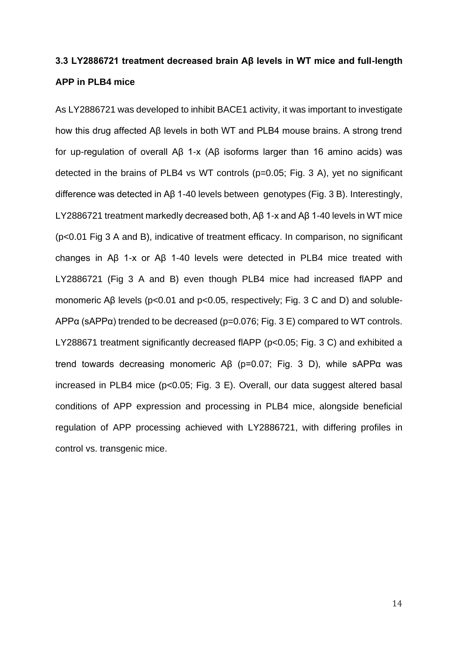# **3.3 LY2886721 treatment decreased brain Aβ levels in WT mice and full-length APP in PLB4 mice**

As LY2886721 was developed to inhibit BACE1 activity, it was important to investigate how this drug affected Aβ levels in both WT and PLB4 mouse brains. A strong trend for up-regulation of overall Aβ 1-x (Aβ isoforms larger than 16 amino acids) was detected in the brains of PLB4 vs WT controls (p=0.05; Fig. 3 A), yet no significant difference was detected in Aβ 1-40 levels between genotypes (Fig. 3 B). Interestingly, LY2886721 treatment markedly decreased both, Aβ 1-x and Aβ 1-40 levels in WT mice (p<0.01 Fig 3 A and B), indicative of treatment efficacy. In comparison, no significant changes in Aβ 1-x or Aβ 1-40 levels were detected in PLB4 mice treated with LY2886721 (Fig 3 A and B) even though PLB4 mice had increased flAPP and monomeric Aβ levels (p<0.01 and p<0.05, respectively; Fig. 3 C and D) and soluble- $APP\alpha$  (sAPP $\alpha$ ) trended to be decreased (p=0.076; Fig. 3 E) compared to WT controls. LY288671 treatment significantly decreased flAPP (p<0.05; Fig. 3 C) and exhibited a trend towards decreasing monomeric Aβ (p=0.07; Fig. 3 D), while sAPPα was increased in PLB4 mice (p<0.05; Fig. 3 E). Overall, our data suggest altered basal conditions of APP expression and processing in PLB4 mice, alongside beneficial regulation of APP processing achieved with LY2886721, with differing profiles in control vs. transgenic mice.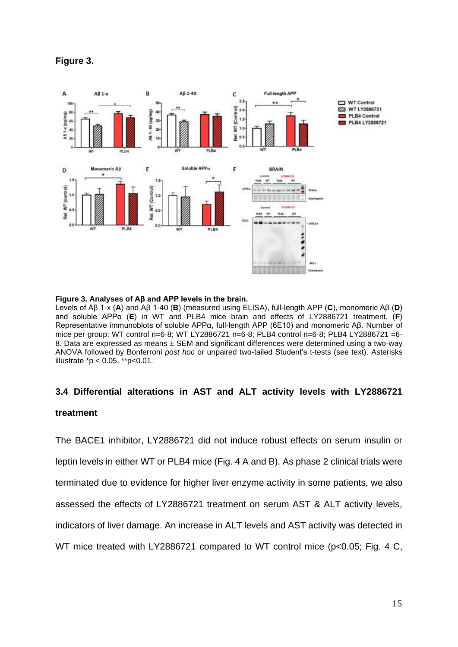



#### **Figure 3. Analyses of Aβ and APP levels in the brain.**

Levels of Aβ 1-x (**A**) and Aβ 1-40 (**B**) (measured using ELISA), full-length APP (**C**), monomeric Aβ (**D**) and soluble APPα (**E**) in WT and PLB4 mice brain and effects of LY2886721 treatment. (**F**) Representative immunoblots of soluble APPα, full-length APP (6E10) and monomeric Aβ. Number of mice per group: WT control n=6-8; WT LY2886721 n=6-8; PLB4 control n=6-8; PLB4 LY2886721 =6- 8. Data are expressed as means ± SEM and significant differences were determined using a two-way ANOVA followed by Bonferroni *post hoc* or unpaired two-tailed Student's t-tests (see text). Asterisks illustrate \*p < 0.05, \*\*p<0.01.

# **3.4 Differential alterations in AST and ALT activity levels with LY2886721 treatment**

The BACE1 inhibitor, LY2886721 did not induce robust effects on serum insulin or leptin levels in either WT or PLB4 mice (Fig. 4 A and B). As phase 2 clinical trials were terminated due to evidence for higher liver enzyme activity in some patients, we also assessed the effects of LY2886721 treatment on serum AST & ALT activity levels, indicators of liver damage. An increase in ALT levels and AST activity was detected in WT mice treated with LY2886721 compared to WT control mice (p<0.05; Fig. 4 C,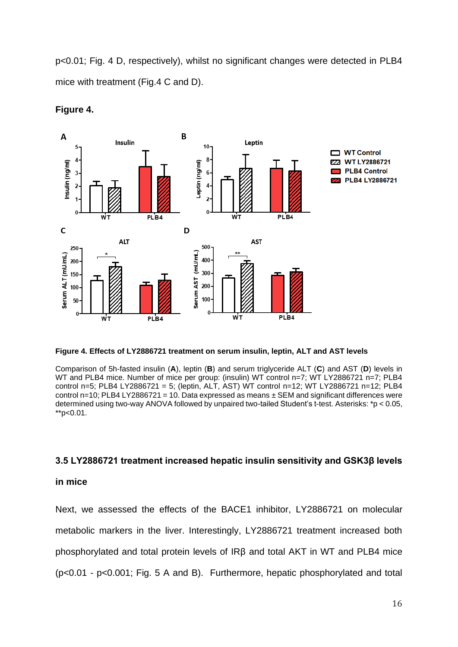p<0.01; Fig. 4 D, respectively), whilst no significant changes were detected in PLB4 mice with treatment (Fig.4 C and D).



**Figure 4.** 

**Figure 4. Effects of LY2886721 treatment on serum insulin, leptin, ALT and AST levels**

Comparison of 5h-fasted insulin (**A**), leptin (**B**) and serum triglyceride ALT (**C**) and AST (**D**) levels in WT and PLB4 mice. Number of mice per group: (insulin) WT control n=7; WT LY2886721 n=7; PLB4 control n=5; PLB4 LY2886721 = 5; (leptin, ALT, AST) WT control n=12; WT LY2886721 n=12; PLB4 control n=10; PLB4 LY2886721 = 10. Data expressed as means  $\pm$  SEM and significant differences were determined using two-way ANOVA followed by unpaired two-tailed Student's t-test. Asterisks: \*p < 0.05, \*\*p<0.01.

## **3.5 LY2886721 treatment increased hepatic insulin sensitivity and GSK3β levels**

## **in mice**

Next, we assessed the effects of the BACE1 inhibitor, LY2886721 on molecular metabolic markers in the liver. Interestingly, LY2886721 treatment increased both phosphorylated and total protein levels of IRβ and total AKT in WT and PLB4 mice (p<0.01 - p<0.001; Fig. 5 A and B). Furthermore, hepatic phosphorylated and total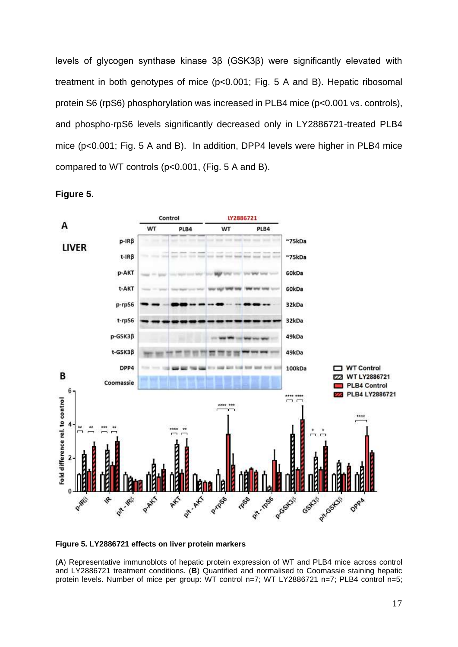levels of glycogen synthase kinase 3β (GSK3β) were significantly elevated with treatment in both genotypes of mice (p<0.001; Fig. 5 A and B). Hepatic ribosomal protein S6 (rpS6) phosphorylation was increased in PLB4 mice (p<0.001 vs. controls), and phospho-rpS6 levels significantly decreased only in LY2886721-treated PLB4 mice (p<0.001; Fig. 5 A and B). In addition, DPP4 levels were higher in PLB4 mice compared to WT controls (p<0.001, (Fig. 5 A and B).

**Figure 5.**



**Figure 5. LY2886721 effects on liver protein markers** 

(**A**) Representative immunoblots of hepatic protein expression of WT and PLB4 mice across control and LY2886721 treatment conditions. (**B**) Quantified and normalised to Coomassie staining hepatic protein levels. Number of mice per group: WT control n=7; WT LY2886721 n=7; PLB4 control n=5;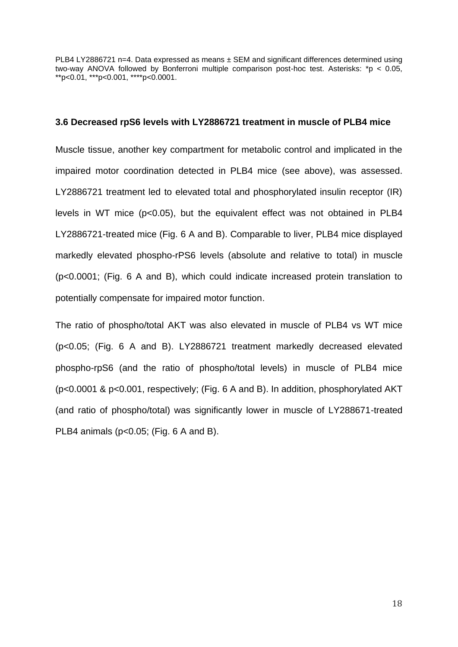PLB4 LY2886721 n=4. Data expressed as means ± SEM and significant differences determined using two-way ANOVA followed by Bonferroni multiple comparison post-hoc test. Asterisks: \*p < 0.05, \*\*p<0.01, \*\*\*p<0.001, \*\*\*\*p<0.0001.

## **3.6 Decreased rpS6 levels with LY2886721 treatment in muscle of PLB4 mice**

Muscle tissue, another key compartment for metabolic control and implicated in the impaired motor coordination detected in PLB4 mice (see above), was assessed. LY2886721 treatment led to elevated total and phosphorylated insulin receptor (IR) levels in WT mice (p<0.05), but the equivalent effect was not obtained in PLB4 LY2886721-treated mice (Fig. 6 A and B). Comparable to liver, PLB4 mice displayed markedly elevated phospho-rPS6 levels (absolute and relative to total) in muscle (p<0.0001; (Fig. 6 A and B), which could indicate increased protein translation to potentially compensate for impaired motor function.

The ratio of phospho/total AKT was also elevated in muscle of PLB4 vs WT mice (p<0.05; (Fig. 6 A and B). LY2886721 treatment markedly decreased elevated phospho-rpS6 (and the ratio of phospho/total levels) in muscle of PLB4 mice (p<0.0001 & p<0.001, respectively; (Fig. 6 A and B). In addition, phosphorylated AKT (and ratio of phospho/total) was significantly lower in muscle of LY288671-treated PLB4 animals (p<0.05; (Fig. 6 A and B).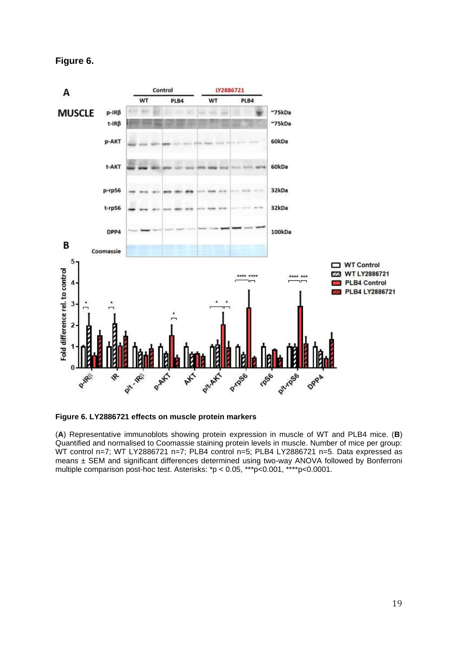**Figure 6.**



**Figure 6. LY2886721 effects on muscle protein markers** 

(**A**) Representative immunoblots showing protein expression in muscle of WT and PLB4 mice. (**B**) Quantified and normalised to Coomassie staining protein levels in muscle. Number of mice per group: WT control n=7; WT LY2886721 n=7; PLB4 control n=5; PLB4 LY2886721 n=5. Data expressed as means ± SEM and significant differences determined using two-way ANOVA followed by Bonferroni multiple comparison post-hoc test. Asterisks: \*p < 0.05, \*\*\*p<0.001, \*\*\*\*p<0.0001.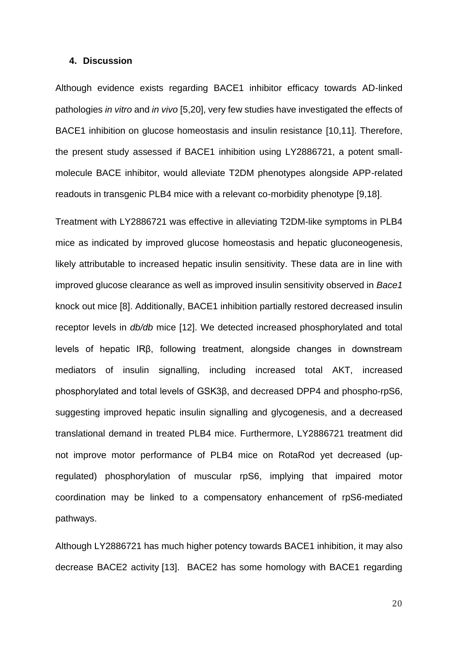#### **4. Discussion**

Although evidence exists regarding BACE1 inhibitor efficacy towards AD-linked pathologies *in vitro* and *in vivo* [5,20], very few studies have investigated the effects of BACE1 inhibition on glucose homeostasis and insulin resistance [10,11]. Therefore, the present study assessed if BACE1 inhibition using LY2886721, a potent smallmolecule BACE inhibitor, would alleviate T2DM phenotypes alongside APP-related readouts in transgenic PLB4 mice with a relevant co-morbidity phenotype [9,18].

Treatment with LY2886721 was effective in alleviating T2DM-like symptoms in PLB4 mice as indicated by improved glucose homeostasis and hepatic gluconeogenesis, likely attributable to increased hepatic insulin sensitivity. These data are in line with improved glucose clearance as well as improved insulin sensitivity observed in *Bace1*  knock out mice [8]. Additionally, BACE1 inhibition partially restored decreased insulin receptor levels in *db/db* mice [12]. We detected increased phosphorylated and total levels of hepatic IRβ, following treatment, alongside changes in downstream mediators of insulin signalling, including increased total AKT, increased phosphorylated and total levels of GSK3β, and decreased DPP4 and phospho-rpS6, suggesting improved hepatic insulin signalling and glycogenesis, and a decreased translational demand in treated PLB4 mice. Furthermore, LY2886721 treatment did not improve motor performance of PLB4 mice on RotaRod yet decreased (upregulated) phosphorylation of muscular rpS6, implying that impaired motor coordination may be linked to a compensatory enhancement of rpS6-mediated pathways.

Although LY2886721 has much higher potency towards BACE1 inhibition, it may also decrease BACE2 activity [13]. BACE2 has some homology with BACE1 regarding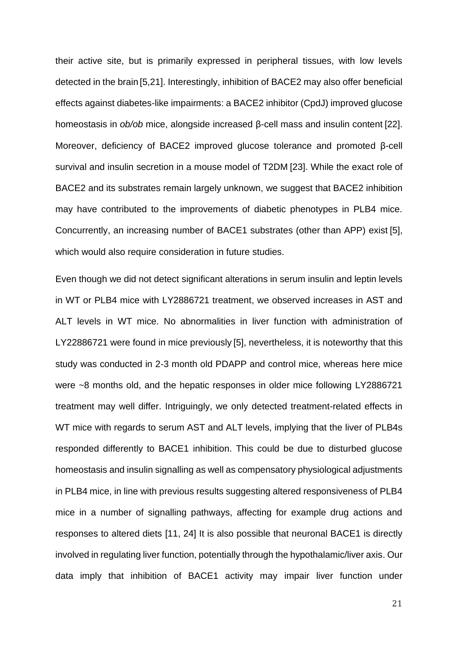their active site, but is primarily expressed in peripheral tissues, with low levels detected in the brain [5,21]. Interestingly, inhibition of BACE2 may also offer beneficial effects against diabetes-like impairments: a BACE2 inhibitor (CpdJ) improved glucose homeostasis in *ob/ob* mice, alongside increased β-cell mass and insulin content [22]. Moreover, deficiency of BACE2 improved glucose tolerance and promoted β-cell survival and insulin secretion in a mouse model of T2DM [23]. While the exact role of BACE2 and its substrates remain largely unknown, we suggest that BACE2 inhibition may have contributed to the improvements of diabetic phenotypes in PLB4 mice. Concurrently, an increasing number of BACE1 substrates (other than APP) exist [5], which would also require consideration in future studies.

Even though we did not detect significant alterations in serum insulin and leptin levels in WT or PLB4 mice with LY2886721 treatment, we observed increases in AST and ALT levels in WT mice. No abnormalities in liver function with administration of LY22886721 were found in mice previously [5], nevertheless, it is noteworthy that this study was conducted in 2-3 month old PDAPP and control mice, whereas here mice were ~8 months old, and the hepatic responses in older mice following LY2886721 treatment may well differ. Intriguingly, we only detected treatment-related effects in WT mice with regards to serum AST and ALT levels, implying that the liver of PLB4s responded differently to BACE1 inhibition. This could be due to disturbed glucose homeostasis and insulin signalling as well as compensatory physiological adjustments in PLB4 mice, in line with previous results suggesting altered responsiveness of PLB4 mice in a number of signalling pathways, affecting for example drug actions and responses to altered diets [11, 24] It is also possible that neuronal BACE1 is directly involved in regulating liver function, potentially through the hypothalamic/liver axis. Our data imply that inhibition of BACE1 activity may impair liver function under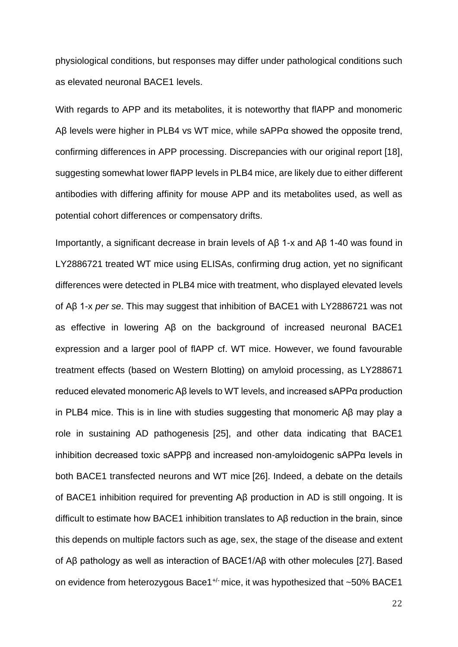physiological conditions, but responses may differ under pathological conditions such as elevated neuronal BACE1 levels.

With regards to APP and its metabolites, it is noteworthy that flAPP and monomeric Aβ levels were higher in PLB4 vs WT mice, while sAPPα showed the opposite trend, confirming differences in APP processing. Discrepancies with our original report [18], suggesting somewhat lower flAPP levels in PLB4 mice, are likely due to either different antibodies with differing affinity for mouse APP and its metabolites used, as well as potential cohort differences or compensatory drifts.

Importantly, a significant decrease in brain levels of Aβ 1-x and Aβ 1-40 was found in LY2886721 treated WT mice using ELISAs, confirming drug action, yet no significant differences were detected in PLB4 mice with treatment, who displayed elevated levels of Aβ 1-x *per se*. This may suggest that inhibition of BACE1 with LY2886721 was not as effective in lowering Aβ on the background of increased neuronal BACE1 expression and a larger pool of flAPP cf. WT mice. However, we found favourable treatment effects (based on Western Blotting) on amyloid processing, as LY288671 reduced elevated monomeric Aβ levels to WT levels, and increased sAPPα production in PLB4 mice. This is in line with studies suggesting that monomeric Aβ may play a role in sustaining AD pathogenesis [25], and other data indicating that BACE1 inhibition decreased toxic sAPPβ and increased non-amyloidogenic sAPPα levels in both BACE1 transfected neurons and WT mice [26]. Indeed, a debate on the details of BACE1 inhibition required for preventing Aβ production in AD is still ongoing. It is difficult to estimate how BACE1 inhibition translates to Aβ reduction in the brain, since this depends on multiple factors such as age, sex, the stage of the disease and extent of Aβ pathology as well as interaction of BACE1/Aβ with other molecules [27]. Based on evidence from heterozygous Bace1<sup>+/-</sup> mice, it was hypothesized that ~50% BACE1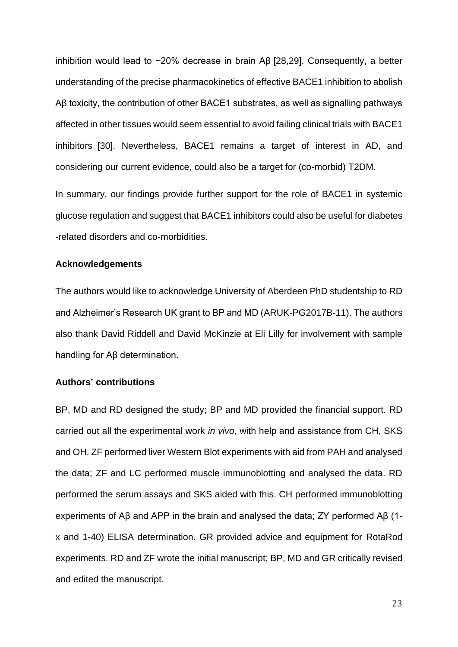inhibition would lead to ~20% decrease in brain Aβ [28,29]. Consequently, a better understanding of the precise pharmacokinetics of effective BACE1 inhibition to abolish Aβ toxicity, the contribution of other BACE1 substrates, as well as signalling pathways affected in other tissues would seem essential to avoid failing clinical trials with BACE1 inhibitors [30]. Nevertheless, BACE1 remains a target of interest in AD, and considering our current evidence, could also be a target for (co-morbid) T2DM.

In summary, our findings provide further support for the role of BACE1 in systemic glucose regulation and suggest that BACE1 inhibitors could also be useful for diabetes -related disorders and co-morbidities.

## **Acknowledgements**

The authors would like to acknowledge University of Aberdeen PhD studentship to RD and Alzheimer's Research UK grant to BP and MD (ARUK-PG2017B-11). The authors also thank David Riddell and David McKinzie at Eli Lilly for involvement with sample handling for Aβ determination.

## **Authors' contributions**

BP, MD and RD designed the study; BP and MD provided the financial support. RD carried out all the experimental work *in vivo*, with help and assistance from CH, SKS and OH. ZF performed liver Western Blot experiments with aid from PAH and analysed the data; ZF and LC performed muscle immunoblotting and analysed the data. RD performed the serum assays and SKS aided with this. CH performed immunoblotting experiments of Aβ and APP in the brain and analysed the data; ZY performed Aβ (1 x and 1-40) ELISA determination. GR provided advice and equipment for RotaRod experiments. RD and ZF wrote the initial manuscript; BP, MD and GR critically revised and edited the manuscript.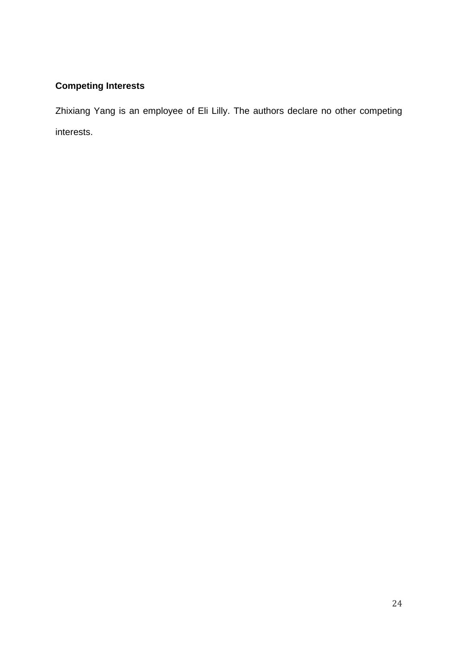# **Competing Interests**

Zhixiang Yang is an employee of Eli Lilly. The authors declare no other competing interests.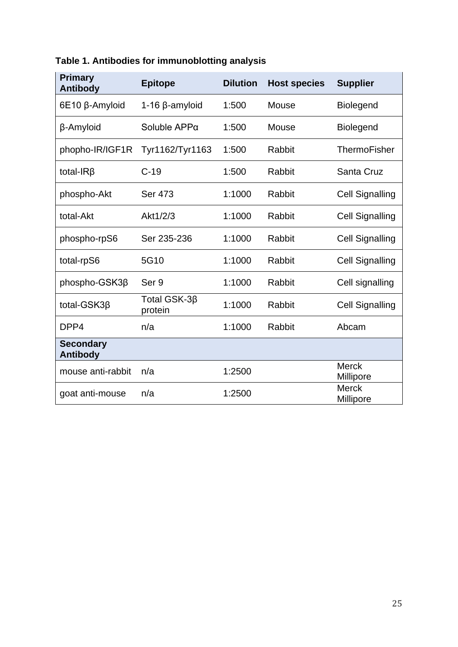| <b>Primary</b><br><b>Antibody</b>   | <b>Epitope</b>          | <b>Dilution</b> | <b>Host species</b> | <b>Supplier</b>           |
|-------------------------------------|-------------------------|-----------------|---------------------|---------------------------|
| 6E10 β-Amyloid                      | $1-16$ $\beta$ -amyloid | 1:500           | Mouse               | <b>Biolegend</b>          |
| β-Amyloid                           | Soluble APPa            | 1:500           | Mouse               | <b>Biolegend</b>          |
| phopho-IR/IGF1R                     | Tyr1162/Tyr1163         | 1:500           | Rabbit              | <b>ThermoFisher</b>       |
| total-IR $\beta$                    | $C-19$                  | 1:500           | Rabbit              | Santa Cruz                |
| phospho-Akt                         | <b>Ser 473</b>          | 1:1000          | Rabbit              | <b>Cell Signalling</b>    |
| total-Akt                           | Akt1/2/3                | 1:1000          | Rabbit              | <b>Cell Signalling</b>    |
| phospho-rpS6                        | Ser 235-236             | 1:1000          | Rabbit              | <b>Cell Signalling</b>    |
| total-rpS6                          | 5G10                    | 1:1000          | Rabbit              | <b>Cell Signalling</b>    |
| phospho-GSK3ß                       | Ser <sub>9</sub>        | 1:1000          | <b>Rabbit</b>       | Cell signalling           |
| total-GSK3β                         | Total GSK-3β<br>protein | 1:1000          | Rabbit              | <b>Cell Signalling</b>    |
| DPP4                                | n/a                     | 1:1000          | Rabbit              | Abcam                     |
| <b>Secondary</b><br><b>Antibody</b> |                         |                 |                     |                           |
| mouse anti-rabbit                   | n/a                     | 1:2500          |                     | <b>Merck</b><br>Millipore |
| goat anti-mouse                     | n/a                     | 1:2500          |                     | <b>Merck</b><br>Millipore |

# **Table 1. Antibodies for immunoblotting analysis**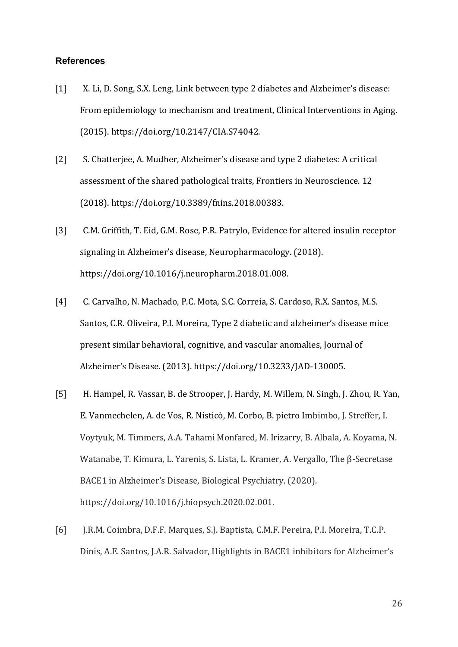### **References**

- [1] X. Li, D. Song, S.X. Leng, Link between type 2 diabetes and Alzheimer's disease: From epidemiology to mechanism and treatment, Clinical Interventions in Aging. (2015). https://doi.org/10.2147/CIA.S74042.
- [2] S. Chatterjee, A. Mudher, Alzheimer's disease and type 2 diabetes: A critical assessment of the shared pathological traits, Frontiers in Neuroscience. 12 (2018). https://doi.org/10.3389/fnins.2018.00383.
- [3] C.M. Griffith, T. Eid, G.M. Rose, P.R. Patrylo, Evidence for altered insulin receptor signaling in Alzheimer's disease, Neuropharmacology. (2018). https://doi.org/10.1016/j.neuropharm.2018.01.008.
- [4] C. Carvalho, N. Machado, P.C. Mota, S.C. Correia, S. Cardoso, R.X. Santos, M.S. Santos, C.R. Oliveira, P.I. Moreira, Type 2 diabetic and alzheimer's disease mice present similar behavioral, cognitive, and vascular anomalies, Journal of Alzheimer's Disease. (2013). https://doi.org/10.3233/JAD-130005.
- [5] H. Hampel, R. Vassar, B. de Strooper, J. Hardy, M. Willem, N. Singh, J. Zhou, R. Yan, E. Vanmechelen, A. de Vos, R. Nisticò, M. Corbo, B. pietro Imbimbo, J. Streffer, I. Voytyuk, M. Timmers, A.A. Tahami Monfared, M. Irizarry, B. Albala, A. Koyama, N. Watanabe, T. Kimura, L. Yarenis, S. Lista, L. Kramer, A. Vergallo, The β-Secretase BACE1 in Alzheimer's Disease, Biological Psychiatry. (2020). https://doi.org/10.1016/j.biopsych.2020.02.001.
- [6] J.R.M. Coimbra, D.F.F. Marques, S.J. Baptista, C.M.F. Pereira, P.I. Moreira, T.C.P. Dinis, A.E. Santos, J.A.R. Salvador, Highlights in BACE1 inhibitors for Alzheimer's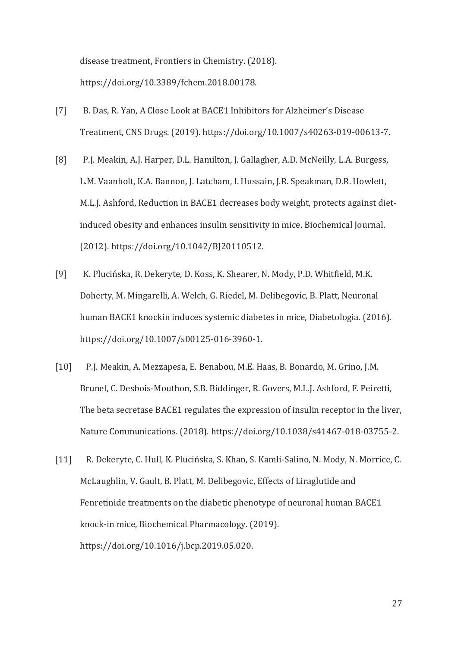disease treatment, Frontiers in Chemistry. (2018). https://doi.org/10.3389/fchem.2018.00178.

- [7] B. Das, R. Yan, A Close Look at BACE1 Inhibitors for Alzheimer's Disease Treatment, CNS Drugs. (2019). https://doi.org/10.1007/s40263-019-00613-7.
- [8] P.J. Meakin, A.J. Harper, D.L. Hamilton, J. Gallagher, A.D. McNeilly, L.A. Burgess, L.M. Vaanholt, K.A. Bannon, J. Latcham, I. Hussain, J.R. Speakman, D.R. Howlett, M.L.J. Ashford, Reduction in BACE1 decreases body weight, protects against dietinduced obesity and enhances insulin sensitivity in mice, Biochemical Journal. (2012). https://doi.org/10.1042/BJ20110512.
- [9] K. Plucińska, R. Dekeryte, D. Koss, K. Shearer, N. Mody, P.D. Whitfield, M.K. Doherty, M. Mingarelli, A. Welch, G. Riedel, M. Delibegovic, B. Platt, Neuronal human BACE1 knockin induces systemic diabetes in mice, Diabetologia. (2016). https://doi.org/10.1007/s00125-016-3960-1.
- [10] P.J. Meakin, A. Mezzapesa, E. Benabou, M.E. Haas, B. Bonardo, M. Grino, J.M. Brunel, C. Desbois-Mouthon, S.B. Biddinger, R. Govers, M.L.J. Ashford, F. Peiretti, The beta secretase BACE1 regulates the expression of insulin receptor in the liver, Nature Communications. (2018). https://doi.org/10.1038/s41467-018-03755-2.
- [11] R. Dekeryte, C. Hull, K. Plucińska, S. Khan, S. Kamli-Salino, N. Mody, N. Morrice, C. McLaughlin, V. Gault, B. Platt, M. Delibegovic, Effects of Liraglutide and Fenretinide treatments on the diabetic phenotype of neuronal human BACE1 knock-in mice, Biochemical Pharmacology. (2019). https://doi.org/10.1016/j.bcp.2019.05.020.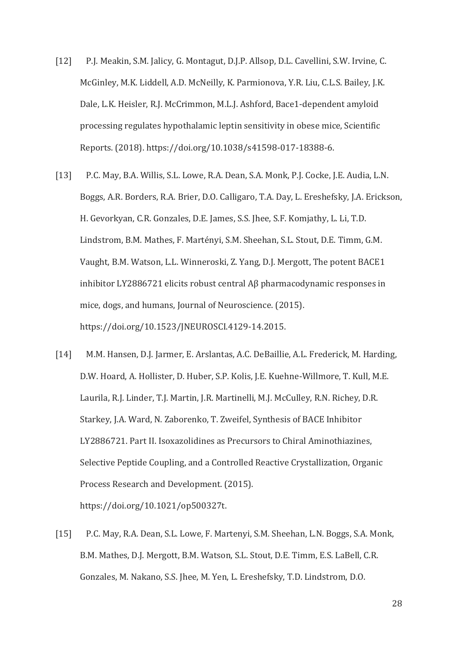- [12] P.J. Meakin, S.M. Jalicy, G. Montagut, D.J.P. Allsop, D.L. Cavellini, S.W. Irvine, C. McGinley, M.K. Liddell, A.D. McNeilly, K. Parmionova, Y.R. Liu, C.L.S. Bailey, J.K. Dale, L.K. Heisler, R.J. McCrimmon, M.L.J. Ashford, Bace1-dependent amyloid processing regulates hypothalamic leptin sensitivity in obese mice, Scientific Reports. (2018). https://doi.org/10.1038/s41598-017-18388-6.
- [13] P.C. May, B.A. Willis, S.L. Lowe, R.A. Dean, S.A. Monk, P.J. Cocke, J.E. Audia, L.N. Boggs, A.R. Borders, R.A. Brier, D.O. Calligaro, T.A. Day, L. Ereshefsky, J.A. Erickson, H. Gevorkyan, C.R. Gonzales, D.E. James, S.S. Jhee, S.F. Komjathy, L. Li, T.D. Lindstrom, B.M. Mathes, F. Martényi, S.M. Sheehan, S.L. Stout, D.E. Timm, G.M. Vaught, B.M. Watson, L.L. Winneroski, Z. Yang, D.J. Mergott, The potent BACE1 inhibitor LY2886721 elicits robust central Aβ pharmacodynamic responses in mice, dogs, and humans, Journal of Neuroscience. (2015). https://doi.org/10.1523/JNEUROSCI.4129-14.2015.
- [14] M.M. Hansen, D.J. Jarmer, E. Arslantas, A.C. DeBaillie, A.L. Frederick, M. Harding, D.W. Hoard, A. Hollister, D. Huber, S.P. Kolis, J.E. Kuehne-Willmore, T. Kull, M.E. Laurila, R.J. Linder, T.J. Martin, J.R. Martinelli, M.J. McCulley, R.N. Richey, D.R. Starkey, J.A. Ward, N. Zaborenko, T. Zweifel, Synthesis of BACE Inhibitor LY2886721. Part II. Isoxazolidines as Precursors to Chiral Aminothiazines, Selective Peptide Coupling, and a Controlled Reactive Crystallization, Organic Process Research and Development. (2015). https://doi.org/10.1021/op500327t.
- [15] P.C. May, R.A. Dean, S.L. Lowe, F. Martenyi, S.M. Sheehan, L.N. Boggs, S.A. Monk, B.M. Mathes, D.J. Mergott, B.M. Watson, S.L. Stout, D.E. Timm, E.S. LaBell, C.R. Gonzales, M. Nakano, S.S. Jhee, M. Yen, L. Ereshefsky, T.D. Lindstrom, D.O.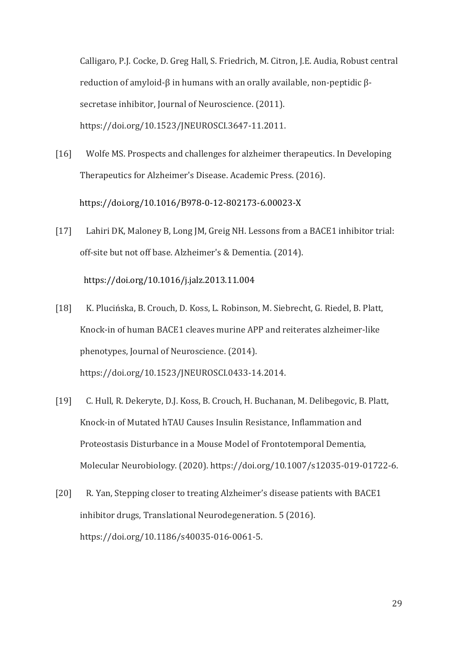Calligaro, P.J. Cocke, D. Greg Hall, S. Friedrich, M. Citron, J.E. Audia, Robust central reduction of amyloid-β in humans with an orally available, non-peptidic βsecretase inhibitor, Journal of Neuroscience. (2011). https://doi.org/10.1523/JNEUROSCI.3647-11.2011.

- [16] Wolfe MS. Prospects and challenges for alzheimer therapeutics. In Developing Therapeutics for Alzheimer's Disease. Academic Press. (2016). <https://doi.org/10.1016/B978-0-12-802173-6.00023-X>
- [17] Lahiri DK, Maloney B, Long JM, Greig NH. Lessons from a BACE1 inhibitor trial: off‐site but not off base. Alzheimer's & Dementia. (2014). <https://doi.org/10.1016/j.jalz.2013.11.004>
- [18] K. Plucińska, B. Crouch, D. Koss, L. Robinson, M. Siebrecht, G. Riedel, B. Platt, Knock-in of human BACE1 cleaves murine APP and reiterates alzheimer-like phenotypes, Journal of Neuroscience. (2014). https://doi.org/10.1523/JNEUROSCI.0433-14.2014.
- [19] C. Hull, R. Dekeryte, D.J. Koss, B. Crouch, H. Buchanan, M. Delibegovic, B. Platt, Knock-in of Mutated hTAU Causes Insulin Resistance, Inflammation and Proteostasis Disturbance in a Mouse Model of Frontotemporal Dementia, Molecular Neurobiology. (2020). https://doi.org/10.1007/s12035-019-01722-6.
- [20] R. Yan, Stepping closer to treating Alzheimer's disease patients with BACE1 inhibitor drugs, Translational Neurodegeneration. 5 (2016). https://doi.org/10.1186/s40035-016-0061-5.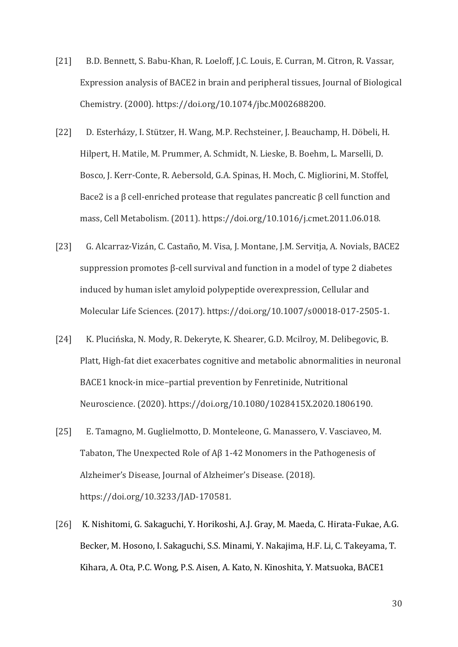- [21] B.D. Bennett, S. Babu-Khan, R. Loeloff, J.C. Louis, E. Curran, M. Citron, R. Vassar, Expression analysis of BACE2 in brain and peripheral tissues, Journal of Biological Chemistry. (2000). https://doi.org/10.1074/jbc.M002688200.
- [22] D. Esterházy, I. Stützer, H. Wang, M.P. Rechsteiner, J. Beauchamp, H. Döbeli, H. Hilpert, H. Matile, M. Prummer, A. Schmidt, N. Lieske, B. Boehm, L. Marselli, D. Bosco, J. Kerr-Conte, R. Aebersold, G.A. Spinas, H. Moch, C. Migliorini, M. Stoffel, Bace2 is a β cell-enriched protease that regulates pancreatic β cell function and mass, Cell Metabolism. (2011). https://doi.org/10.1016/j.cmet.2011.06.018.
- [23] G. Alcarraz-Vizán, C. Castaño, M. Visa, J. Montane, J.M. Servitja, A. Novials, BACE2 suppression promotes β-cell survival and function in a model of type 2 diabetes induced by human islet amyloid polypeptide overexpression, Cellular and Molecular Life Sciences. (2017). https://doi.org/10.1007/s00018-017-2505-1.
- [24] K. Plucińska, N. Mody, R. Dekeryte, K. Shearer, G.D. Mcilroy, M. Delibegovic, B. Platt, High-fat diet exacerbates cognitive and metabolic abnormalities in neuronal BACE1 knock-in mice–partial prevention by Fenretinide, Nutritional Neuroscience. (2020). https://doi.org/10.1080/1028415X.2020.1806190.
- [25] E. Tamagno, M. Guglielmotto, D. Monteleone, G. Manassero, V. Vasciaveo, M. Tabaton, The Unexpected Role of Aβ 1-42 Monomers in the Pathogenesis of Alzheimer's Disease, Journal of Alzheimer's Disease. (2018). https://doi.org/10.3233/JAD-170581.
- [26] K. Nishitomi, G. Sakaguchi, Y. Horikoshi, A.J. Gray, M. Maeda, C. Hirata-Fukae, A.G. Becker, M. Hosono, I. Sakaguchi, S.S. Minami, Y. Nakajima, H.F. Li, C. Takeyama, T. Kihara, A. Ota, P.C. Wong, P.S. Aisen, A. Kato, N. Kinoshita, Y. Matsuoka, BACE1